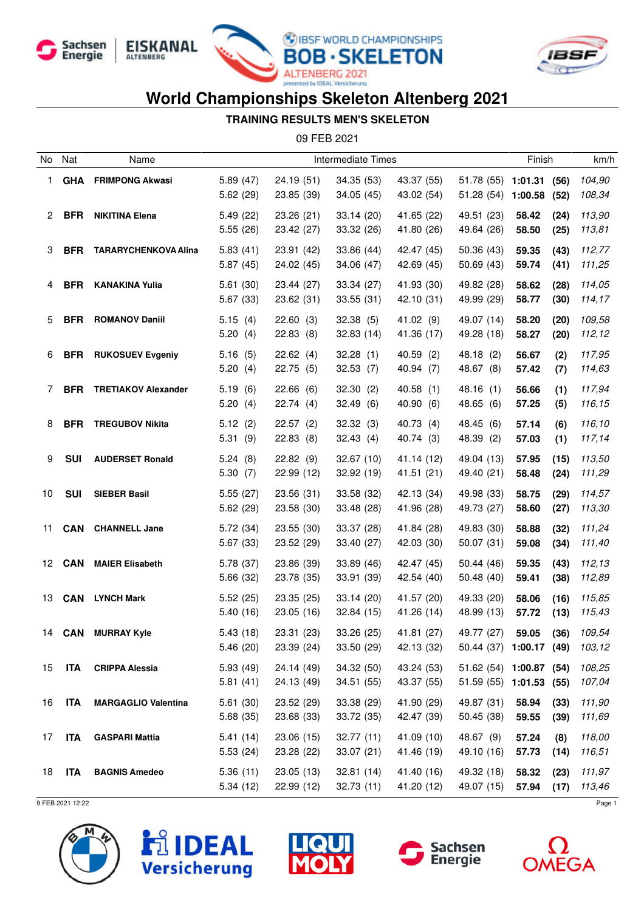







#### **TRAINING RESULTS MEN'S SKELETON**

09 FEB 2021

| No | Nat        | Name                        | <b>Intermediate Times</b> |                          |                          |                          | Finish                                             |                | km/h         |                  |
|----|------------|-----------------------------|---------------------------|--------------------------|--------------------------|--------------------------|----------------------------------------------------|----------------|--------------|------------------|
| 1. | <b>GHA</b> | <b>FRIMPONG Akwasi</b>      | 5.89(47)<br>5.62(29)      | 24.19 (51)<br>23.85 (39) | 34.35 (53)<br>34.05 (45) | 43.37 (55)<br>43.02 (54) | 51.78 (55) 1:01.31<br>51.28 (54) 1:00.58           |                | (56)<br>(52) | 104,90<br>108,34 |
| 2  | <b>BFR</b> | <b>NIKITINA Elena</b>       | 5.49(22)<br>5.55(26)      | 23.26 (21)<br>23.42 (27) | 33.14(20)<br>33.32 (26)  | 41.65 (22)<br>41.80 (26) | 49.51 (23)<br>49.64 (26)                           | 58.42<br>58.50 | (24)<br>(25) | 113,90<br>113,81 |
| 3  | <b>BFR</b> | <b>TARARYCHENKOVA Alina</b> | 5.83(41)<br>5.87(45)      | 23.91 (42)<br>24.02 (45) | 33.86 (44)<br>34.06 (47) | 42.47 (45)<br>42.69 (45) | 50.36(43)<br>50.69(43)                             | 59.35<br>59.74 | (43)<br>(41) | 112,77<br>111,25 |
| 4  | <b>BFR</b> | <b>KANAKINA Yulia</b>       | 5.61(30)<br>5.67(33)      | 23.44 (27)<br>23.62 (31) | 33.34 (27)<br>33.55(31)  | 41.93 (30)<br>42.10 (31) | 49.82 (28)<br>49.99 (29)                           | 58.62<br>58.77 | (28)<br>(30) | 114,05<br>114,17 |
| 5  | <b>BFR</b> | <b>ROMANOV Daniil</b>       | 5.15(4)<br>5.20(4)        | 22.60(3)<br>22.83(8)     | 32.38(5)<br>32.83(14)    | 41.02 (9)<br>41.36 (17)  | 49.07 (14)<br>49.28 (18)                           | 58.20<br>58.27 | (20)<br>(20) | 109,58<br>112,12 |
| 6  | <b>BFR</b> | <b>RUKOSUEV Evgeniy</b>     | 5.16(5)<br>5.20(4)        | 22.62(4)<br>22.75 (5)    | 32.28(1)<br>32.53(7)     | 40.59(2)<br>40.94 (7)    | 48.18(2)<br>48.67 (8)                              | 56.67<br>57.42 | (2)<br>(7)   | 117,95<br>114,63 |
| 7  | <b>BFR</b> | <b>TRETIAKOV Alexander</b>  | 5.19(6)<br>5.20(4)        | 22.66(6)<br>22.74(4)     | 32.30(2)<br>32.49(6)     | 40.58(1)<br>40.90 (6)    | 48.16(1)<br>48.65 (6)                              | 56.66<br>57.25 | (1)<br>(5)   | 117,94<br>116,15 |
| 8  | <b>BFR</b> | <b>TREGUBOV Nikita</b>      | 5.12(2)<br>5.31(9)        | 22.57(2)<br>22.83(8)     | 32.32(3)<br>32.43(4)     | 40.73 (4)<br>40.74(3)    | 48.45 (6)<br>48.39 (2)                             | 57.14<br>57.03 | (6)<br>(1)   | 116,10<br>117,14 |
| 9  | <b>SUI</b> | <b>AUDERSET Ronald</b>      | 5.24(8)<br>5.30(7)        | 22.82(9)<br>22.99 (12)   | 32.67(10)<br>32.92 (19)  | 41.14 (12)<br>41.51 (21) | 49.04 (13)<br>49.40 (21)                           | 57.95<br>58.48 | (15)<br>(24) | 113,50<br>111,29 |
| 10 | <b>SUI</b> | <b>SIEBER Basil</b>         | 5.55(27)<br>5.62(29)      | 23.56 (31)<br>23.58 (30) | 33.58 (32)<br>33.48 (28) | 42.13 (34)<br>41.96 (28) | 49.98 (33)<br>49.73 (27)                           | 58.75<br>58.60 | (29)<br>(27) | 114,57<br>113,30 |
| 11 | <b>CAN</b> | <b>CHANNELL Jane</b>        | 5.72(34)<br>5.67(33)      | 23.55 (30)<br>23.52 (29) | 33.37 (28)<br>33.40 (27) | 41.84 (28)<br>42.03 (30) | 49.83 (30)<br>50.07(31)                            | 58.88<br>59.08 | (32)<br>(34) | 111,24<br>111,40 |
| 12 | <b>CAN</b> | <b>MAIER Elisabeth</b>      | 5.78 (37)<br>5.66(32)     | 23.86 (39)<br>23.78 (35) | 33.89 (46)<br>33.91 (39) | 42.47 (45)<br>42.54 (40) | 50.44(46)<br>50.48 (40)                            | 59.35<br>59.41 | (43)<br>(38) | 112,13<br>112,89 |
| 13 | CAN        | <b>LYNCH Mark</b>           | 5.52(25)<br>5.40(16)      | 23.35 (25)<br>23.05(16)  | 33.14(20)<br>32.84(15)   | 41.57 (20)<br>41.26 (14) | 49.33 (20)<br>48.99 (13)                           | 58.06<br>57.72 | (16)<br>(13) | 115,85<br>115,43 |
| 14 | CAN        | <b>MURRAY Kyle</b>          | 5.43(18)<br>5.46(20)      | 23.31 (23)<br>23.39 (24) | 33.26 (25)<br>33.50 (29) | 41.81 (27)<br>42.13 (32) | 49.77 (27)<br>50.44 (37) 1:00.17 (49)              | 59.05          | (36)         | 109,54<br>103,12 |
| 15 | <b>ITA</b> | <b>CRIPPA Alessia</b>       | 5.93(49)<br>5.81(41)      | 24.14 (49)<br>24.13 (49) | 34.32 (50)<br>34.51 (55) | 43.24 (53)<br>43.37 (55) | 51.62 (54) 1:00.87 (54)<br>51.59 (55) 1:01.53 (55) |                |              | 108,25<br>107,04 |
| 16 | ITA        | <b>MARGAGLIO Valentina</b>  | 5.61(30)<br>5.68(35)      | 23.52 (29)<br>23.68 (33) | 33.38 (29)<br>33.72 (35) | 41.90 (29)<br>42.47 (39) | 49.87 (31)<br>50.45(38)                            | 58.94<br>59.55 | (33)<br>(39) | 111,90<br>111,69 |
| 17 | <b>ITA</b> | <b>GASPARI Mattia</b>       | 5.41(14)<br>5.53(24)      | 23.06 (15)<br>23.28 (22) | 32.77(11)<br>33.07(21)   | 41.09 (10)<br>41.46 (19) | 48.67 (9)<br>49.10 (16)                            | 57.24<br>57.73 | (8)<br>(14)  | 118,00<br>116,51 |
| 18 | <b>ITA</b> | <b>BAGNIS Amedeo</b>        | 5.36(11)<br>5.34(12)      | 23.05(13)<br>22.99(12)   | 32.81(14)<br>32.73(11)   | 41.40 (16)<br>41.20 (12) | 49.32 (18)<br>49.07 (15)                           | 58.32<br>57.94 | (23)<br>(17) | 111,97<br>113,46 |









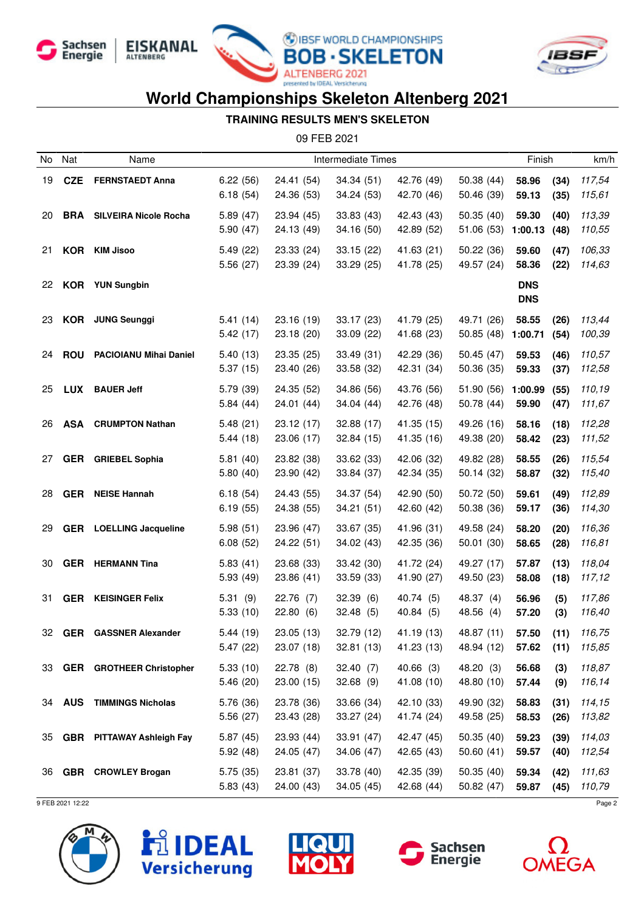







#### **TRAINING RESULTS MEN'S SKELETON**

09 FEB 2021

| No  | Nat        | Name                           | <b>Intermediate Times</b> |                          |                          |                          |                          | Finish                   |              | km/h             |
|-----|------------|--------------------------------|---------------------------|--------------------------|--------------------------|--------------------------|--------------------------|--------------------------|--------------|------------------|
| 19  | <b>CZE</b> | <b>FERNSTAEDT Anna</b>         | 6.22(56)<br>6.18(54)      | 24.41 (54)<br>24.36 (53) | 34.34(51)<br>34.24 (53)  | 42.76 (49)<br>42.70 (46) | 50.38 (44)<br>50.46 (39) | 58.96<br>59.13           | (34)<br>(35) | 117,54<br>115,61 |
| 20  | BRA        | <b>SILVEIRA Nicole Rocha</b>   | 5.89(47)<br>5.90(47)      | 23.94 (45)<br>24.13 (49) | 33.83 (43)<br>34.16(50)  | 42.43 (43)<br>42.89 (52) | 50.35(40)<br>51.06 (53)  | 59.30<br>1:00.13         | (40)<br>(48) | 113,39<br>110,55 |
| 21  |            | <b>KOR</b> KIM Jisoo           | 5.49(22)<br>5.56 (27)     | 23.33 (24)<br>23.39 (24) | 33.15(22)<br>33.29(25)   | 41.63 (21)<br>41.78 (25) | 50.22 (36)<br>49.57 (24) | 59.60<br>58.36           | (47)<br>(22) | 106,33<br>114,63 |
| 22  |            | <b>KOR</b> YUN Sungbin         |                           |                          |                          |                          |                          | <b>DNS</b><br><b>DNS</b> |              |                  |
| 23  |            | <b>KOR</b> JUNG Seunggi        | 5.41(14)<br>5.42(17)      | 23.16 (19)<br>23.18 (20) | 33.17(23)<br>33.09 (22)  | 41.79 (25)<br>41.68 (23) | 49.71 (26)<br>50.85(48)  | 58.55<br>1:00.71         | (26)<br>(54) | 113,44<br>100,39 |
| 24  | <b>ROU</b> | <b>PACIOIANU Mihai Daniel</b>  | 5.40(13)<br>5.37(15)      | 23.35 (25)<br>23.40 (26) | 33.49 (31)<br>33.58 (32) | 42.29 (36)<br>42.31 (34) | 50.45(47)<br>50.36 (35)  | 59.53<br>59.33           | (46)<br>(37) | 110,57<br>112,58 |
| 25  | LUX        | <b>BAUER Jeff</b>              | 5.79(39)<br>5.84(44)      | 24.35 (52)<br>24.01 (44) | 34.86 (56)<br>34.04(44)  | 43.76 (56)<br>42.76 (48) | 51.90 (56)<br>50.78 (44) | 1:00.99<br>59.90         | (55)<br>(47) | 110,19<br>111,67 |
| 26  | <b>ASA</b> | <b>CRUMPTON Nathan</b>         | 5.48(21)<br>5.44(18)      | 23.12 (17)<br>23.06 (17) | 32.88 (17)<br>32.84(15)  | 41.35 (15)<br>41.35 (16) | 49.26 (16)<br>49.38 (20) | 58.16<br>58.42           | (18)<br>(23) | 112,28<br>111,52 |
| 27  |            | <b>GER</b> GRIEBEL Sophia      | 5.81(40)<br>5.80(40)      | 23.82 (38)<br>23.90 (42) | 33.62 (33)<br>33.84 (37) | 42.06 (32)<br>42.34 (35) | 49.82 (28)<br>50.14 (32) | 58.55<br>58.87           | (26)<br>(32) | 115,54<br>115,40 |
| 28  |            | <b>GER</b> NEISE Hannah        | 6.18(54)<br>6.19(55)      | 24.43 (55)<br>24.38 (55) | 34.37 (54)<br>34.21(51)  | 42.90 (50)<br>42.60 (42) | 50.72 (50)<br>50.38 (36) | 59.61<br>59.17           | (49)<br>(36) | 112,89<br>114,30 |
| 29  |            | <b>GER</b> LOELLING Jacqueline | 5.98(51)<br>6.08(52)      | 23.96 (47)<br>24.22 (51) | 33.67 (35)<br>34.02 (43) | 41.96 (31)<br>42.35 (36) | 49.58 (24)<br>50.01(30)  | 58.20<br>58.65           | (20)<br>(28) | 116,36<br>116,81 |
| 30  |            | <b>GER</b> HERMANN Tina        | 5.83(41)<br>5.93 (49)     | 23.68 (33)<br>23.86 (41) | 33.42 (30)<br>33.59 (33) | 41.72 (24)<br>41.90 (27) | 49.27 (17)<br>49.50 (23) | 57.87<br>58.08           | (13)<br>(18) | 118,04<br>117,12 |
| 31  |            | <b>GER KEISINGER Felix</b>     | 5.31(9)<br>5.33(10)       | 22.76(7)<br>22.80(6)     | 32.39(6)<br>32.48(5)     | 40.74 (5)<br>40.84 (5)   | 48.37 (4)<br>48.56 (4)   | 56.96<br>57.20           | (5)<br>(3)   | 117,86<br>116,40 |
| 32. | GER        | <b>GASSNER Alexander</b>       | 5.44 (19)<br>5.47(22)     | 23.05 (13)<br>23.07 (18) | 32.79 (12)<br>32.81(13)  | 41.19 (13)<br>41.23 (13) | 48.87 (11)<br>48.94 (12) | 57.50<br>$57.62$ (11)    | (11)         | 116,75<br>115,85 |
|     |            | 33 GER GROTHEER Christopher    | 5.33(10)<br>5.46(20)      | 22.78(8)<br>23.00(15)    | 32.40(7)<br>32.68(9)     | 40.66(3)<br>41.08 (10)   | 48.20 (3)<br>48.80 (10)  | 56.68<br>57.44           | (3)<br>(9)   | 118,87<br>116,14 |
|     |            | 34 AUS TIMMINGS Nicholas       | 5.76 (36)<br>5.56(27)     | 23.78 (36)<br>23.43 (28) | 33.66 (34)<br>33.27(24)  | 42.10 (33)<br>41.74 (24) | 49.90 (32)<br>49.58 (25) | 58.83<br>58.53           | (31)<br>(26) | 114,15<br>113,82 |
|     |            | 35 GBR PITTAWAY Ashleigh Fay   | 5.87(45)<br>5.92(48)      | 23.93(44)<br>24.05(47)   | 33.91(47)<br>34.06 (47)  | 42.47 (45)<br>42.65 (43) | 50.35(40)<br>50.60(41)   | 59.23<br>59.57           | (39)<br>(40) | 114,03<br>112,54 |
|     |            | 36 GBR CROWLEY Brogan          | 5.75(35)<br>5.83(43)      | 23.81 (37)<br>24.00 (43) | 33.78 (40)<br>34.05(45)  | 42.35 (39)<br>42.68 (44) | 50.35(40)<br>50.82(47)   | 59.34<br>59.87           | (42)<br>(45) | 111,63<br>110,79 |









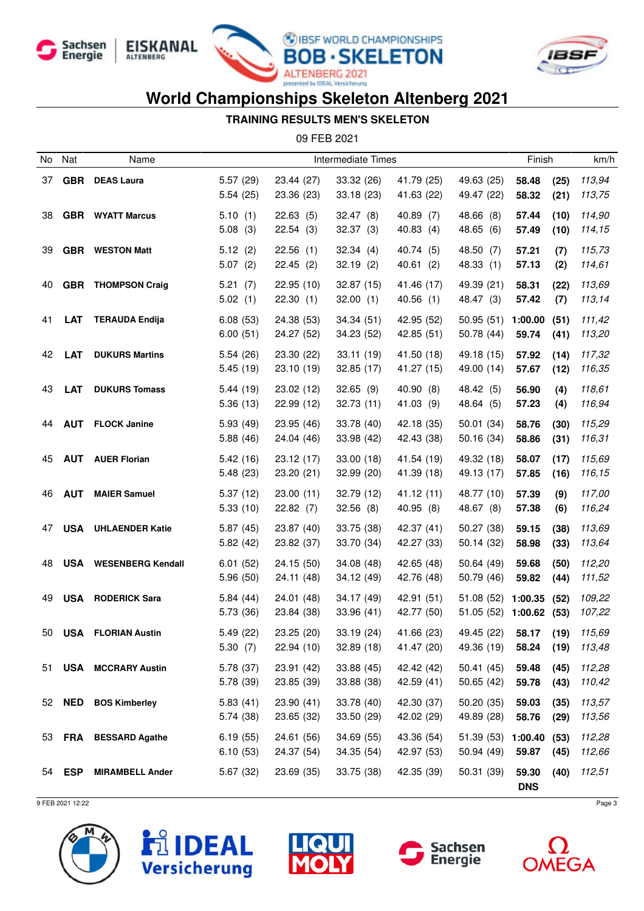







#### **TRAINING RESULTS MEN'S SKELETON**

09 FEB 2021

| No | Nat           | Name                         | Intermediate Times     |                          |                          |                          | Finish                                 |                        | km/h         |                  |
|----|---------------|------------------------------|------------------------|--------------------------|--------------------------|--------------------------|----------------------------------------|------------------------|--------------|------------------|
| 37 | GBR           | <b>DEAS Laura</b>            | 5.57(29)<br>5.54(25)   | 23.44 (27)<br>23.36 (23) | 33.32 (26)<br>33.18(23)  | 41.79 (25)<br>41.63 (22) | 49.63 (25)<br>49.47 (22)               | 58.48<br>58.32         | (25)<br>(21) | 113,94<br>113,75 |
| 38 |               | <b>GBR</b> WYATT Marcus      | 5.10(1)<br>5.08(3)     | 22.63(5)<br>22.54(3)     | 32.47(8)<br>32.37(3)     | 40.89 (7)<br>40.83(4)    | 48.66 (8)<br>48.65 (6)                 | 57.44<br>57.49         | (10)<br>(10) | 114,90<br>114,15 |
| 39 |               | <b>GBR</b> WESTON Matt       | 5.12(2)<br>5.07(2)     | 22.56(1)<br>22.45(2)     | 32.34(4)<br>32.19(2)     | 40.74 (5)<br>40.61(2)    | 48.50 (7)<br>48.33(1)                  | 57.21<br>57.13         | (7)<br>(2)   | 115,73<br>114,61 |
| 40 |               | <b>GBR</b> THOMPSON Craig    | 5.21(7)<br>5.02(1)     | 22.95 (10)<br>22.30(1)   | 32.87 (15)<br>32.00(1)   | 41.46 (17)<br>40.56(1)   | 49.39 (21)<br>48.47 (3)                | 58.31<br>57.42         | (22)<br>(7)  | 113,69<br>113,14 |
| 41 | <b>LAT</b>    | <b>TERAUDA Endija</b>        | 6.08(53)<br>6.00(51)   | 24.38 (53)<br>24.27 (52) | 34.34(51)<br>34.23 (52)  | 42.95 (52)<br>42.85 (51) | 50.95(51)<br>50.78 (44)                | 1:00.00<br>59.74       | (51)<br>(41) | 111,42<br>113,20 |
| 42 | <b>LAT</b>    | <b>DUKURS Martins</b>        | 5.54(26)<br>5.45(19)   | 23.30 (22)<br>23.10 (19) | 33.11(19)<br>32.85 (17)  | 41.50 (18)<br>41.27 (15) | 49.18 (15)<br>49.00 (14)               | 57.92<br>57.67         | (14)<br>(12) | 117,32<br>116,35 |
| 43 | <b>LAT</b>    | <b>DUKURS Tomass</b>         | 5.44(19)<br>5.36(13)   | 23.02 (12)<br>22.99(12)  | 32.65(9)<br>32.73(11)    | 40.90 (8)<br>41.03 (9)   | 48.42 (5)<br>48.64 (5)                 | 56.90<br>57.23         | (4)<br>(4)   | 118,61<br>116,94 |
| 44 | <b>AUT</b>    | <b>FLOCK Janine</b>          | 5.93(49)<br>5.88(46)   | 23.95 (46)<br>24.04 (46) | 33.78 (40)<br>33.98 (42) | 42.18 (35)<br>42.43 (38) | 50.01(34)<br>50.16 (34)                | 58.76<br>58.86         | (30)<br>(31) | 115,29<br>116,31 |
| 45 | <b>AUT</b>    | <b>AUER Florian</b>          | 5.42(16)<br>5.48(23)   | 23.12 (17)<br>23.20 (21) | 33.00(18)<br>32.99 (20)  | 41.54 (19)<br>41.39 (18) | 49.32 (18)<br>49.13 (17)               | 58.07<br>57.85         | (17)<br>(16) | 115,69<br>116,15 |
| 46 | <b>AUT</b>    | <b>MAIER Samuel</b>          | 5.37(12)<br>5.33(10)   | 23.00(11)<br>22.82(7)    | 32.79 (12)<br>32.56(8)   | 41.12(11)<br>40.95 (8)   | 48.77 (10)<br>48.67 (8)                | 57.39<br>57.38         | (9)<br>(6)   | 117,00<br>116,24 |
| 47 | <b>USA</b>    | <b>UHLAENDER Katie</b>       | 5.87(45)<br>5.82(42)   | 23.87 (40)<br>23.82 (37) | 33.75 (38)<br>33.70 (34) | 42.37 (41)<br>42.27 (33) | 50.27 (38)<br>50.14(32)                | 59.15<br>58.98         | (38)<br>(33) | 113,69<br>113,64 |
| 48 |               | <b>USA</b> WESENBERG Kendall | 6.01(52)<br>5.96(50)   | 24.15 (50)<br>24.11 (48) | 34.08 (48)<br>34.12 (49) | 42.65 (48)<br>42.76 (48) | 50.64(49)<br>50.79 (46)                | 59.68<br>59.82         | (50)<br>(44) | 112,20<br>111,52 |
| 49 |               | <b>USA RODERICK Sara</b>     | 5.84(44)<br>5.73 (36)  | 24.01 (48)<br>23.84 (38) | 34.17 (49)<br>33.96(41)  | 42.91 (51)<br>42.77 (50) | 51.08(52)<br>51.05 (52)                | 1:00.35<br>1:00.62(53) | (52)         | 109,22<br>107,22 |
| 50 | USA           | <b>FLORIAN Austin</b>        | 5.49 (22)<br>5.30(7)   | 23.25 (20)<br>22.94(10)  | 33.19 (24)<br>32.89(18)  | 41.66 (23)<br>41.47 (20) | 49.45 (22)<br>49.36 (19)               | 58.17<br>58.24 (19)    | (19)         | 115,69<br>113,48 |
| 51 |               | <b>USA MCCRARY Austin</b>    | 5.78 (37)<br>5.78 (39) | 23.91 (42)<br>23.85 (39) | 33.88 (45)<br>33.88 (38) | 42.42 (42)<br>42.59(41)  | 50.41(45)<br>50.65 (42)                | 59.48<br>59.78         | (45)<br>(43) | 112,28<br>110,42 |
| 52 |               | <b>NED</b> BOS Kimberley     | 5.83(41)<br>5.74(38)   | 23.90(41)<br>23.65 (32)  | 33.78 (40)<br>33.50(29)  | 42.30 (37)<br>42.02 (29) | 50.20(35)<br>49.89 (28)                | 59.03<br>58.76         | (35)<br>(29) | 113,57<br>113,56 |
|    |               | 53 FRA BESSARD Agathe        | 6.19(55)<br>6.10(53)   | 24.61 (56)<br>24.37 (54) | 34.69 (55)<br>34.35(54)  | 43.36 (54)<br>42.97 (53) | $51.39(53)$ 1:00.40 (53)<br>50.94 (49) | 59.87                  | (45)         | 112,28<br>112,66 |
|    | 54 <b>ESP</b> | <b>MIRAMBELL Ander</b>       | 5.67(32)               | 23.69 (35)               | 33.75 (38)               | 42.35 (39)               | 50.31 (39)                             | 59.30<br><b>DNS</b>    | (40)         | 112,51           |